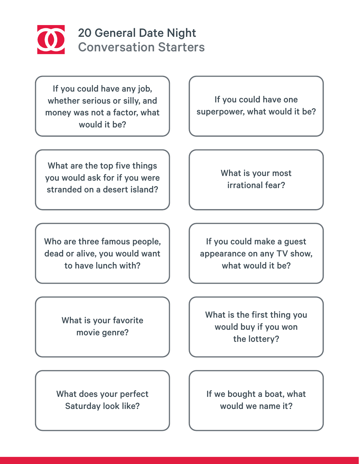

## 20 General Date Night Conversation Starters

If you could have any job, whether serious or silly, and money was not a factor, what would it be?

What are the top five things you would ask for if you were stranded on a desert island?

Who are three famous people, dead or alive, you would want to have lunch with?

> What is your favorite movie genre?

What does your perfect Saturday look like?

If you could have one superpower, what would it be?

> What is your most irrational fear?

If you could make a guest appearance on any TV show, what would it be?

What is the first thing you would buy if you won the lottery?

If we bought a boat, what would we name it?